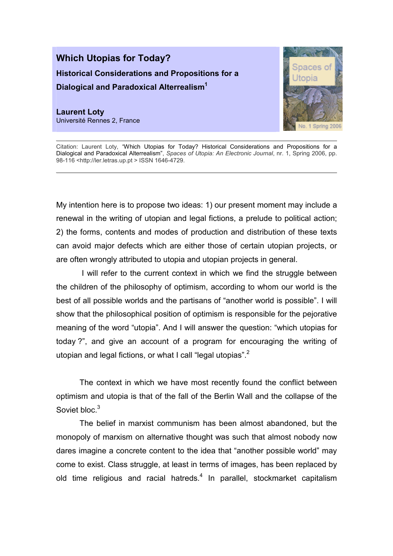## Which Utopias for Today? Historical Considerations and Propositions for a Dialogical and Paradoxical Alterrealism<sup>1</sup>

Laurent Loty Université Rennes 2, France



Citation: Laurent Loty, "Which Utopias for Today? Historical Considerations and Propositions for a Dialogical and Paradoxical Alterrealism", Spaces of Utopia: An Electronic Journal, nr. 1, Spring 2006, pp. 98-116 <http://ler.letras.up.pt > ISSN 1646-4729.

My intention here is to propose two ideas: 1) our present moment may include a renewal in the writing of utopian and legal fictions, a prelude to political action; 2) the forms, contents and modes of production and distribution of these texts can avoid major defects which are either those of certain utopian projects, or are often wrongly attributed to utopia and utopian projects in general.

 I will refer to the current context in which we find the struggle between the children of the philosophy of optimism, according to whom our world is the best of all possible worlds and the partisans of "another world is possible". I will show that the philosophical position of optimism is responsible for the pejorative meaning of the word "utopia". And I will answer the question: "which utopias for today ?", and give an account of a program for encouraging the writing of utopian and legal fictions, or what I call "legal utopias".<sup>2</sup>

The context in which we have most recently found the conflict between optimism and utopia is that of the fall of the Berlin Wall and the collapse of the Soviet bloc.<sup>3</sup>

The belief in marxist communism has been almost abandoned, but the monopoly of marxism on alternative thought was such that almost nobody now dares imagine a concrete content to the idea that "another possible world" may come to exist. Class struggle, at least in terms of images, has been replaced by old time religious and racial hatreds.<sup>4</sup> In parallel, stockmarket capitalism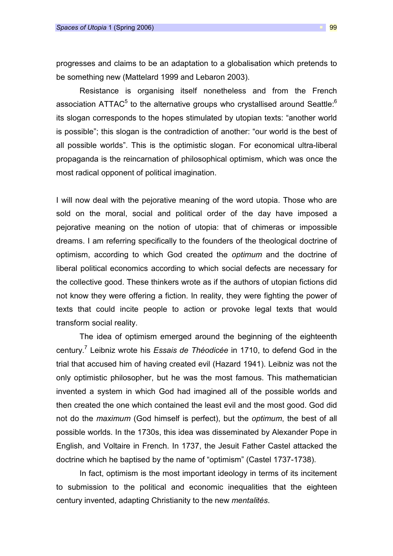progresses and claims to be an adaptation to a globalisation which pretends to be something new (Mattelard 1999 and Lebaron 2003).

Resistance is organising itself nonetheless and from the French association ATTAC<sup>5</sup> to the alternative groups who crystallised around Seattle:<sup>6</sup> its slogan corresponds to the hopes stimulated by utopian texts: "another world is possible"; this slogan is the contradiction of another: "our world is the best of all possible worlds". This is the optimistic slogan. For economical ultra-liberal propaganda is the reincarnation of philosophical optimism, which was once the most radical opponent of political imagination.

I will now deal with the pejorative meaning of the word utopia. Those who are sold on the moral, social and political order of the day have imposed a pejorative meaning on the notion of utopia: that of chimeras or impossible dreams. I am referring specifically to the founders of the theological doctrine of optimism, according to which God created the optimum and the doctrine of liberal political economics according to which social defects are necessary for the collective good. These thinkers wrote as if the authors of utopian fictions did not know they were offering a fiction. In reality, they were fighting the power of texts that could incite people to action or provoke legal texts that would transform social reality.

The idea of optimism emerged around the beginning of the eighteenth century.<sup>7</sup> Leibniz wrote his Essais de Théodicée in 1710, to defend God in the trial that accused him of having created evil (Hazard 1941). Leibniz was not the only optimistic philosopher, but he was the most famous. This mathematician invented a system in which God had imagined all of the possible worlds and then created the one which contained the least evil and the most good. God did not do the *maximum* (God himself is perfect), but the *optimum*, the best of all possible worlds. In the 1730s, this idea was disseminated by Alexander Pope in English, and Voltaire in French. In 1737, the Jesuit Father Castel attacked the doctrine which he baptised by the name of "optimism" (Castel 1737-1738).

In fact, optimism is the most important ideology in terms of its incitement to submission to the political and economic inequalities that the eighteen century invented, adapting Christianity to the new mentalités.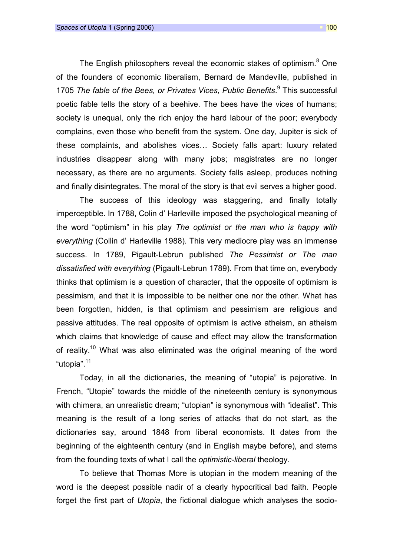The English philosophers reveal the economic stakes of optimism.<sup>8</sup> One of the founders of economic liberalism, Bernard de Mandeville, published in 1705 The fable of the Bees, or Privates Vices, Public Benefits.<sup>9</sup> This successful poetic fable tells the story of a beehive. The bees have the vices of humans; society is unequal, only the rich enjoy the hard labour of the poor; everybody complains, even those who benefit from the system. One day, Jupiter is sick of these complaints, and abolishes vices… Society falls apart: luxury related industries disappear along with many jobs; magistrates are no longer necessary, as there are no arguments. Society falls asleep, produces nothing and finally disintegrates. The moral of the story is that evil serves a higher good.

The success of this ideology was staggering, and finally totally imperceptible. In 1788, Colin d' Harleville imposed the psychological meaning of the word "optimism" in his play The optimist or the man who is happy with everything (Collin d' Harleville 1988). This very mediocre play was an immense success. In 1789, Pigault-Lebrun published The Pessimist or The man dissatisfied with everything (Pigault-Lebrun 1789). From that time on, everybody thinks that optimism is a question of character, that the opposite of optimism is pessimism, and that it is impossible to be neither one nor the other. What has been forgotten, hidden, is that optimism and pessimism are religious and passive attitudes. The real opposite of optimism is active atheism, an atheism which claims that knowledge of cause and effect may allow the transformation of reality.<sup>10</sup> What was also eliminated was the original meaning of the word "utopia".<sup>11</sup>

Today, in all the dictionaries, the meaning of "utopia" is pejorative. In French, "Utopie" towards the middle of the nineteenth century is synonymous with chimera, an unrealistic dream; "utopian" is synonymous with "idealist". This meaning is the result of a long series of attacks that do not start, as the dictionaries say, around 1848 from liberal economists. It dates from the beginning of the eighteenth century (and in English maybe before), and stems from the founding texts of what I call the optimistic-liberal theology.

To believe that Thomas More is utopian in the modern meaning of the word is the deepest possible nadir of a clearly hypocritical bad faith. People forget the first part of Utopia, the fictional dialogue which analyses the socio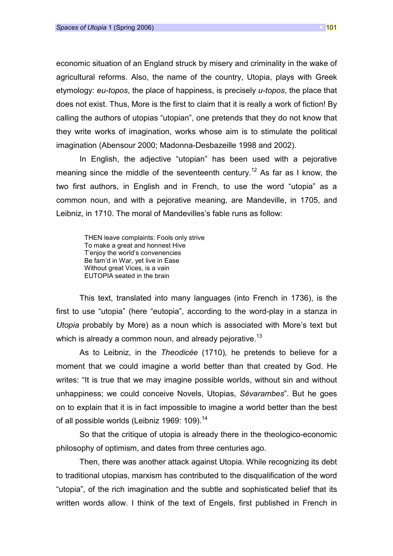economic situation of an England struck by misery and criminality in the wake of agricultural reforms. Also, the name of the country, Utopia, plays with Greek etymology: eu-topos, the place of happiness, is precisely u-topos, the place that does not exist. Thus, More is the first to claim that it is really a work of fiction! By calling the authors of utopias "utopian", one pretends that they do not know that they write works of imagination, works whose aim is to stimulate the political imagination (Abensour 2000; Madonna-Desbazeille 1998 and 2002).

In English, the adjective "utopian" has been used with a pejorative meaning since the middle of the seventeenth century.<sup>12</sup> As far as I know, the two first authors, in English and in French, to use the word "utopia" as a common noun, and with a pejorative meaning, are Mandeville, in 1705, and Leibniz, in 1710. The moral of Mandevilles's fable runs as follow:

THEN leave complaints: Fools only strive To make a great and honnest Hive T'enjoy the world's convenencies Be fam'd in War, yet live in Ease Without great Vices, is a vain EUTOPIA seated in the brain

This text, translated into many languages (into French in 1736), is the first to use "utopia" (here "eutopia", according to the word-play in a stanza in Utopia probably by More) as a noun which is associated with More's text but which is already a common noun, and already pejorative.<sup>13</sup>

As to Leibniz, in the Theodicée (1710), he pretends to believe for a moment that we could imagine a world better than that created by God. He writes: "It is true that we may imagine possible worlds, without sin and without unhappiness; we could conceive Novels, Utopias, Sévarambes". But he goes on to explain that it is in fact impossible to imagine a world better than the best of all possible worlds (Leibniz 1969: 109).<sup>14</sup>

So that the critique of utopia is already there in the theologico-economic philosophy of optimism, and dates from three centuries ago.

Then, there was another attack against Utopia. While recognizing its debt to traditional utopias, marxism has contributed to the disqualification of the word "utopia", of the rich imagination and the subtle and sophisticated belief that its written words allow. I think of the text of Engels, first published in French in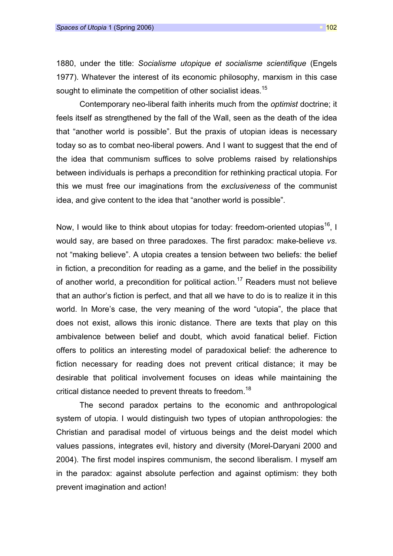1880, under the title: Socialisme utopique et socialisme scientifique (Engels 1977). Whatever the interest of its economic philosophy, marxism in this case sought to eliminate the competition of other socialist ideas.<sup>15</sup>

Contemporary neo-liberal faith inherits much from the optimist doctrine; it feels itself as strengthened by the fall of the Wall, seen as the death of the idea that "another world is possible". But the praxis of utopian ideas is necessary today so as to combat neo-liberal powers. And I want to suggest that the end of the idea that communism suffices to solve problems raised by relationships between individuals is perhaps a precondition for rethinking practical utopia. For this we must free our imaginations from the exclusiveness of the communist idea, and give content to the idea that "another world is possible".

Now, I would like to think about utopias for today: freedom-oriented utopias<sup>16</sup>, I would say, are based on three paradoxes. The first paradox: make-believe vs. not "making believe". A utopia creates a tension between two beliefs: the belief in fiction, a precondition for reading as a game, and the belief in the possibility of another world, a precondition for political action.<sup>17</sup> Readers must not believe that an author's fiction is perfect, and that all we have to do is to realize it in this world. In More's case, the very meaning of the word "utopia", the place that does not exist, allows this ironic distance. There are texts that play on this ambivalence between belief and doubt, which avoid fanatical belief. Fiction offers to politics an interesting model of paradoxical belief: the adherence to fiction necessary for reading does not prevent critical distance; it may be desirable that political involvement focuses on ideas while maintaining the critical distance needed to prevent threats to freedom.<sup>18</sup>

The second paradox pertains to the economic and anthropological system of utopia. I would distinguish two types of utopian anthropologies: the Christian and paradisal model of virtuous beings and the deist model which values passions, integrates evil, history and diversity (Morel-Daryani 2000 and 2004). The first model inspires communism, the second liberalism. I myself am in the paradox: against absolute perfection and against optimism: they both prevent imagination and action!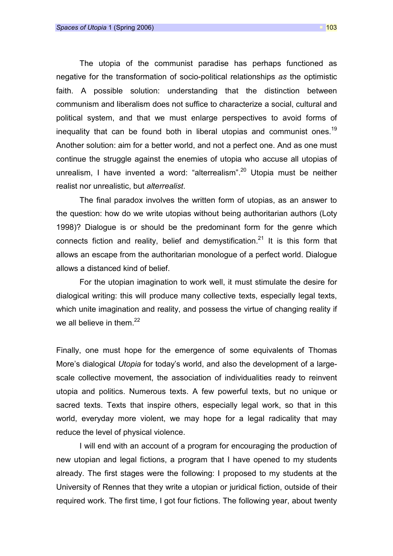The utopia of the communist paradise has perhaps functioned as negative for the transformation of socio-political relationships as the optimistic faith. A possible solution: understanding that the distinction between communism and liberalism does not suffice to characterize a social, cultural and political system, and that we must enlarge perspectives to avoid forms of inequality that can be found both in liberal utopias and communist ones.<sup>19</sup> Another solution: aim for a better world, and not a perfect one. And as one must continue the struggle against the enemies of utopia who accuse all utopias of unrealism. I have invented a word: "alterrealism".<sup>20</sup> Utopia must be neither realist nor unrealistic, but alterrealist.

The final paradox involves the written form of utopias, as an answer to the question: how do we write utopias without being authoritarian authors (Loty 1998)? Dialogue is or should be the predominant form for the genre which connects fiction and reality, belief and demystification.<sup>21</sup> It is this form that allows an escape from the authoritarian monologue of a perfect world. Dialogue allows a distanced kind of belief.

For the utopian imagination to work well, it must stimulate the desire for dialogical writing: this will produce many collective texts, especially legal texts, which unite imagination and reality, and possess the virtue of changing reality if we all believe in them. $^{22}$ 

Finally, one must hope for the emergence of some equivalents of Thomas More's dialogical Utopia for today's world, and also the development of a largescale collective movement, the association of individualities ready to reinvent utopia and politics. Numerous texts. A few powerful texts, but no unique or sacred texts. Texts that inspire others, especially legal work, so that in this world, everyday more violent, we may hope for a legal radicality that may reduce the level of physical violence.

I will end with an account of a program for encouraging the production of new utopian and legal fictions, a program that I have opened to my students already. The first stages were the following: I proposed to my students at the University of Rennes that they write a utopian or juridical fiction, outside of their required work. The first time, I got four fictions. The following year, about twenty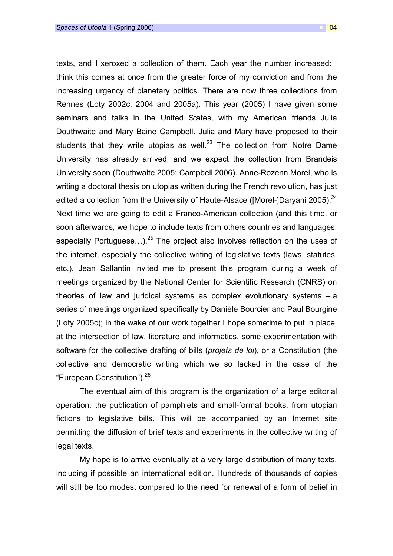texts, and I xeroxed a collection of them. Each year the number increased: I think this comes at once from the greater force of my conviction and from the increasing urgency of planetary politics. There are now three collections from Rennes (Loty 2002c, 2004 and 2005a). This year (2005) I have given some seminars and talks in the United States, with my American friends Julia Douthwaite and Mary Baine Campbell. Julia and Mary have proposed to their students that they write utopias as well.<sup>23</sup> The collection from Notre Dame University has already arrived, and we expect the collection from Brandeis University soon (Douthwaite 2005; Campbell 2006). Anne-Rozenn Morel, who is writing a doctoral thesis on utopias written during the French revolution, has just edited a collection from the University of Haute-Alsace (IMorel-IDaryani 2005).  $^{24}$ Next time we are going to edit a Franco-American collection (and this time, or soon afterwards, we hope to include texts from others countries and languages, especially Portuguese...).<sup>25</sup> The project also involves reflection on the uses of the internet, especially the collective writing of legislative texts (laws, statutes, etc.). Jean Sallantin invited me to present this program during a week of meetings organized by the National Center for Scientific Research (CNRS) on theories of law and juridical systems as complex evolutionary systems – a series of meetings organized specifically by Danièle Bourcier and Paul Bourgine (Loty 2005c); in the wake of our work together I hope sometime to put in place, at the intersection of law, literature and informatics, some experimentation with software for the collective drafting of bills (projets de loi), or a Constitution (the collective and democratic writing which we so lacked in the case of the "European Constitution").<sup>26</sup>

The eventual aim of this program is the organization of a large editorial operation, the publication of pamphlets and small-format books, from utopian fictions to legislative bills. This will be accompanied by an Internet site permitting the diffusion of brief texts and experiments in the collective writing of legal texts.

My hope is to arrive eventually at a very large distribution of many texts, including if possible an international edition. Hundreds of thousands of copies will still be too modest compared to the need for renewal of a form of belief in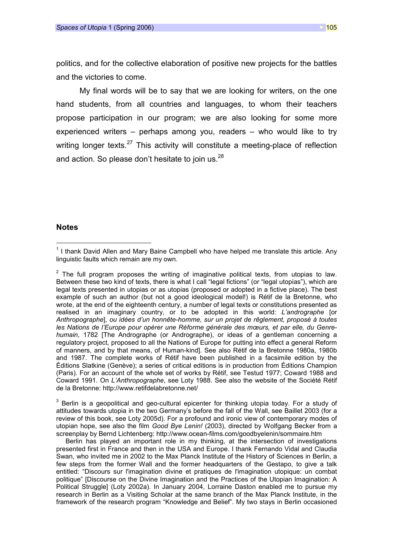politics, and for the collective elaboration of positive new projects for the battles and the victories to come.

My final words will be to say that we are looking for writers, on the one hand students, from all countries and languages, to whom their teachers propose participation in our program; we are also looking for some more experienced writers – perhaps among you, readers – who would like to try writing longer texts. $27$  This activity will constitute a meeting-place of reflection and action. So please don't hesitate to join us.<sup>28</sup>

## **Notes**

 $\overline{a}$ 

 $3$  Berlin is a geopolitical and geo-cultural epicenter for thinking utopia today. For a study of attitudes towards utopia in the two Germany's before the fall of the Wall, see Baillet 2003 (for a review of this book, see Loty 2005d). For a profound and ironic view of contemporary modes of utopian hope, see also the film Good Bye Lenin! (2003), directed by Wolfgang Becker from a screenplay by Bernd Lichtenberg: http://www.ocean-films.com/goodbyelenin/sommaire.htm

Berlin has played an important role in my thinking, at the intersection of investigations presented first in France and then in the USA and Europe. I thank Fernando Vidal and Claudia Swan, who invited me in 2002 to the Max Planck Institute of the History of Sciences in Berlin, a few steps from the former Wall and the former headquarters of the Gestapo, to give a talk entitled: "Discours sur l'imagination divine et pratiques de l'imagination utopique: un combat politique" [Discourse on the Divine Imagination and the Practices of the Utopian Imagination: A Political Struggle] (Loty 2002a). In January 2004, Lorraine Daston enabled me to pursue my research in Berlin as a Visiting Scholar at the same branch of the Max Planck Institute, in the framework of the research program "Knowledge and Belief". My two stays in Berlin occasioned

<sup>&</sup>lt;sup>1</sup> I thank David Allen and Mary Baine Campbell who have helped me translate this article. Any linguistic faults which remain are my own.

 $2$  The full program proposes the writing of imaginative political texts, from utopias to law. Between these two kind of texts, there is what I call "legal fictions" (or "legal utopias"), which are legal texts presented in utopias or as utopias (proposed or adopted in a fictive place). The best example of such an author (but not a good ideological model!) is Rétif de la Bretonne, who wrote, at the end of the eighteenth century, a number of legal texts or constitutions presented as realised in an imaginary country, or to be adopted in this world: L'andrographe [or Anthropographe], ou idées d'un honnête-homme, sur un projet de rêglement, proposé à toutes les Nations de l'Europe pour opérer une Réforme générale des mœurs, et par elle, du Genrehumain, 1782 [The Andrographe (or Andrographe), or ideas of a gentleman concerning a regulatory project, proposed to all the Nations of Europe for putting into effect a general Reform of manners, and by that means, of Human-kind]. See also Rétif de la Bretonne 1980a, 1980b and 1987. The complete works of Rétif have been published in a facsimile edition by the Éditions Slatkine (Genève); a series of critical editions is in production from Éditions Champion (Paris). For an account of the whole set of works by Rétif, see Testud 1977; Coward 1988 and Coward 1991. On L'Anthropographe, see Loty 1988. See also the website of the Société Rétif de la Bretonne: http://www.retifdelabretonne.net/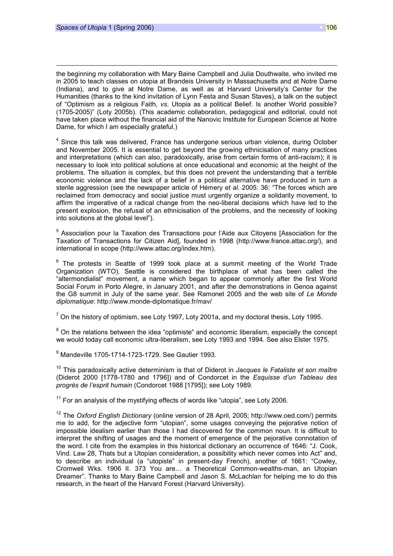$\overline{a}$ 

the beginning my collaboration with Mary Baine Campbell and Julia Douthwaite, who invited me in 2005 to teach classes on utopia at Brandeis University in Massachusetts and at Notre Dame (Indiana), and to give at Notre Dame, as well as at Harvard University's Center for the Humanities (thanks to the kind invitation of Lynn Festa and Susan Staves), a talk on the subject of "Optimism as a religious Faith, vs. Utopia as a political Belief. Is another World possible? (1705-2005)" (Loty 2005b). (This academic collaboration, pedagogical and editorial, could not have taken place without the financial aid of the Nanovic Institute for European Science at Notre Dame, for which I am especially grateful.)

<sup>4</sup> Since this talk was delivered, France has undergone serious urban violence, during October and November 2005. It is essential to get beyond the growing ethnicisation of many practices and interpretations (which can also, paradoxically, arise from certain forms of anti-racism); it is necessary to look into political solutions at once educational and economic at the height of the problems. The situation is complex, but this does not prevent the understanding that a terrible economic violence and the lack of a belief in a political alternative have produced in turn a sterile aggression (see the newspaper article of Hémery et al. 2005: 36: "The forces which are reclaimed from democracy and social justice must urgently organize a solidarity movement, to affirm the imperative of a radical change from the neo-liberal decisions which have led to the present explosion, the refusal of an ethnicisation of the problems, and the necessity of looking into solutions at the global level").

<sup>5</sup> Association pour la Taxation des Transactions pour l'Aide aux Citoyens [Association for the Taxation of Transactions for Citizen Aid], founded in 1998 (http://www.france.attac.org/), and international in scope (http://www.attac.org/index.htm).

 $6$  The protests in Seattle of 1999 took place at a summit meeting of the World Trade Organization (WTO). Seattle is considered the birthplace of what has been called the "altermondialist" movement, a name which began to appear commonly after the first World Social Forum in Porto Alegre, in January 2001, and after the demonstrations in Genoa against the G8 summit in July of the same year. See Ramonet 2005 and the web site of Le Monde diplomatique: http://www.monde-diplomatique.fr/mav/

 $^7$  On the history of optimism, see Loty 1997, Loty 2001a, and my doctoral thesis, Loty 1995.

 $8$  On the relations between the idea "optimiste" and economic liberalism, especially the concept we would today call economic ultra-liberalism, see Loty 1993 and 1994. See also Elster 1975.

9 Mandeville 1705-1714-1723-1729. See Gautier 1993.

 $10$  This paradoxically active determinism is that of Diderot in Jacques le Fataliste et son maître (Diderot 2000 [1778-1780 and 1796]) and of Condorcet in the Esquisse d'un Tableau des progrès de l'esprit humain (Condorcet 1988 [1795]); see Loty 1989.

 $11$  For an analysis of the mystifying effects of words like "utopia", see Loty 2006.

 $12$  The Oxford English Dictionary (online version of 28 April, 2005; http://www.oed.com/) permits me to add, for the adjective form "utopian", some usages conveying the pejorative notion of impossible idealism earlier than those I had discovered for the common noun. It is difficult to interpret the shifting of usages and the moment of emergence of the pejorative connotation of the word. I cite from the examples in this historical dictionary an occurrence of 1646: "J. Cook, Vind. Law 28, Thats but a Utopian consideration, a possibility which never comes into Act" and, to describe an individual (a "utopiste" in present-day French), another of 1661: "Cowley, Cromwell Wks. 1906 II. 373 You are… a Theoretical Common-wealths-man, an Utopian Dreamer". Thanks to Mary Baine Campbell and Jason S. McLachlan for helping me to do this research, in the heart of the Harvard Forest (Harvard University).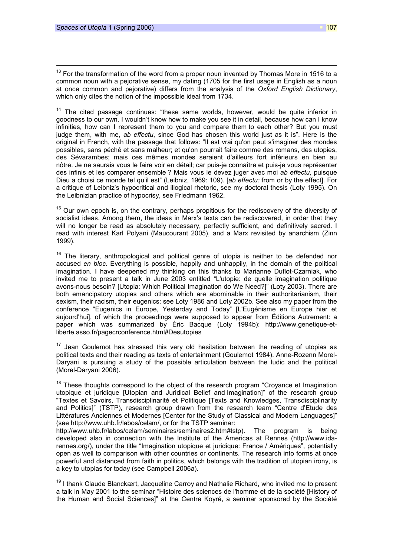$\overline{a}$ 

 $13$  For the transformation of the word from a proper noun invented by Thomas More in 1516 to a common noun with a pejorative sense, my dating (1705 for the first usage in English as a noun at once common and pejorative) differs from the analysis of the Oxford English Dictionary, which only cites the notion of the impossible ideal from 1734.

 $14$  The cited passage continues: "these same worlds, however, would be quite inferior in goodness to our own. I wouldn't know how to make you see it in detail, because how can I know infinities, how can I represent them to you and compare them to each other? But you must judge them, with me, ab effectu, since God has chosen this world just as it is". Here is the original in French, with the passage that follows: "Il est vrai qu'on peut s'imaginer des mondes possibles, sans péché et sans malheur; et qu'on pourrait faire comme des romans, des utopies, des Sévarambes; mais ces mêmes mondes seraient d'ailleurs fort inférieurs en bien au nôtre. Je ne saurais vous le faire voir en détail; car puis-je connaître et puis-je vous représenter des infinis et les comparer ensemble ? Mais vous le devez juger avec moi ab effectu, puisque Dieu a choisi ce monde tel qu'il est" (Leibniz, 1969: 109). [ab effectu: from or by the effect]. For a critique of Leibniz's hypocritical and illogical rhetoric, see my doctoral thesis (Loty 1995). On the Leibnizian practice of hypocrisy, see Friedmann 1962.

 $15$  Our own epoch is, on the contrary, perhaps propitious for the rediscovery of the diversity of socialist ideas. Among them, the ideas in Marx's texts can be rediscovered, in order that they will no longer be read as absolutely necessary, perfectly sufficient, and definitively sacred. I read with interest Karl Polyani (Maucourant 2005), and a Marx revisited by anarchism (Zinn 1999).

 $16$  The literary, anthropological and political genre of utopia is neither to be defended nor accused en bloc. Everything is possible, happily and unhappily, in the domain of the political imagination. I have deepened my thinking on this thanks to Marianne Duflot-Czarniak, who invited me to present a talk in June 2003 entitled "L'utopie: de quelle imagination politique avons-nous besoin? [Utopia: Which Political Imagination do We Need?]" (Loty 2003). There are both emancipatory utopias and others which are abominable in their authoritarianism, their sexism, their racism, their eugenics: see Loty 1986 and Loty 2002b. See also my paper from the conference "Eugenics in Europe, Yesterday and Today" [L'Eugénisme en Europe hier et aujourd'hui], of which the proceedings were supposed to appear from Éditions Autrement: a paper which was summarized by Éric Bacque (Loty 1994b): http://www.genetique-etliberte.asso.fr/pagecrconference.html#Desutopies

 $17$  Jean Goulemot has stressed this very old hesitation between the reading of utopias as political texts and their reading as texts of entertainment (Goulemot 1984). Anne-Rozenn Morel-Daryani is pursuing a study of the possible articulation between the ludic and the political (Morel-Daryani 2006).

 $18$  These thoughts correspond to the object of the research program "Croyance et Imagination utopique et juridique [Utopian and Juridical Belief and Imagination]" of the research group "Textes et Savoirs, Transdisciplinarité et Politique [Texts and Knowledges, Transdisciplinarity and Politics]" (TSTP), research group drawn from the research team "Centre d'Etude des Littératures Anciennes et Modernes [Center for the Study of Classical and Modern Languages]" (see http://www.uhb.fr/labos/celam/, or for the TSTP seminar:

http://www.uhb.fr/labos/celam/seminaires/seminaires2.htm#tstp). The program is being developed also in connection with the Institute of the Americas at Rennes (http://www.idarennes.org/), under the title "Imagination utopique et juridique: France / Amériques", potentially open as well to comparison with other countries or continents. The research into forms at once powerful and distanced from faith in politics, which belongs with the tradition of utopian irony, is a key to utopias for today (see Campbell 2006a).

 $19$  I thank Claude Blanckært, Jacqueline Carroy and Nathalie Richard, who invited me to present a talk in May 2001 to the seminar "Histoire des sciences de l'homme et de la société [History of the Human and Social Sciences]" at the Centre Koyré, a seminar sponsored by the Société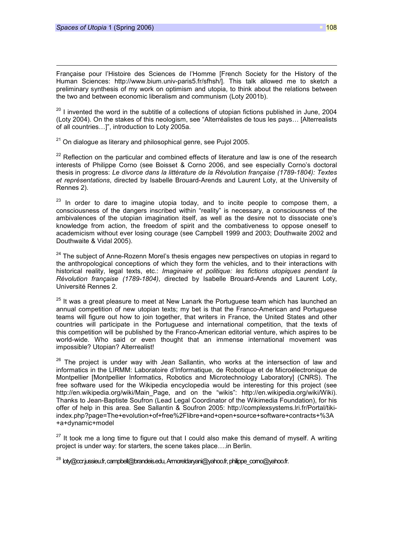$\overline{a}$ 

Française pour l'Histoire des Sciences de l'Homme [French Society for the History of the Human Sciences: http://www.bium.univ-paris5.fr/sfhsh/]. This talk allowed me to sketch a preliminary synthesis of my work on optimism and utopia, to think about the relations between the two and between economic liberalism and communism (Loty 2001b).

 $20$  I invented the word in the subtitle of a collections of utopian fictions published in June, 2004 (Loty 2004). On the stakes of this neologism, see "Alterréalistes de tous les pays… [Alterrealists of all countries…]", introduction to Loty 2005a.

 $21$  On dialogue as literary and philosophical genre, see Pujol 2005.

 $22$  Reflection on the particular and combined effects of literature and law is one of the research interests of Philippe Corno (see Boisset & Corno 2006, and see especially Corno's doctoral thesis in progress: Le divorce dans la littérature de la Révolution française (1789-1804): Textes et représentations, directed by Isabelle Brouard-Arends and Laurent Loty, at the University of Rennes 2).

 $23$  In order to dare to imagine utopia today, and to incite people to compose them, a consciousness of the dangers inscribed within "reality" is necessary, a consciousness of the ambivalences of the utopian imagination itself, as well as the desire not to dissociate one's knowledge from action, the freedom of spirit and the combativeness to oppose oneself to academicism without ever losing courage (see Campbell 1999 and 2003; Douthwaite 2002 and Douthwaite & Vidal 2005).

 $24$  The subiect of Anne-Rozenn Morel's thesis engages new perspectives on utopias in regard to the anthropological conceptions of which they form the vehicles, and to their interactions with historical reality, legal texts, etc.: *Imaginaire et politique: les fictions utopiques pendant la* Révolution française (1789-1804), directed by Isabelle Brouard-Arends and Laurent Loty, Université Rennes 2.

 $25$  It was a great pleasure to meet at New Lanark the Portuguese team which has launched an annual competition of new utopian texts; my bet is that the Franco-American and Portuguese teams will figure out how to join together, that writers in France, the United States and other countries will participate in the Portuguese and international competition, that the texts of this competition will be published by the Franco-American editorial venture, which aspires to be world-wide. Who said or even thought that an immense international movement was impossible? Utopian? Alterrealist!

 $26$  The project is under way with Jean Sallantin, who works at the intersection of law and informatics in the LIRMM: Laboratoire d'Informatique, de Robotique et de Microélectronique de Montpellier [Montpellier Informatics, Robotics and Microtechnology Laboratory] (CNRS). The free software used for the Wikipedia encyclopedia would be interesting for this project (see http://en.wikipedia.org/wiki/Main\_Page, and on the "wikis": http://en.wikipedia.org/wiki/Wiki). Thanks to Jean-Baptiste Soufron (Lead Legal Coordinator of the Wikimedia Foundation), for his offer of help in this area. See Sallantin & Soufron 2005: http://complexsystems.lri.fr/Portal/tikiindex.php?page=The+evolution+of+free%2Flibre+and+open+source+software+contracts+%3A +a+dynamic+model

 $27$  It took me a long time to figure out that I could also make this demand of myself. A writing project is under way: for starters, the scene takes place….in Berlin.

 $^{28}$  loty@ccr.jussieu.fr, campbell@brandeis.edu, Armoreldaryani@yahoo.fr, philippe\_corno@yahoo.fr.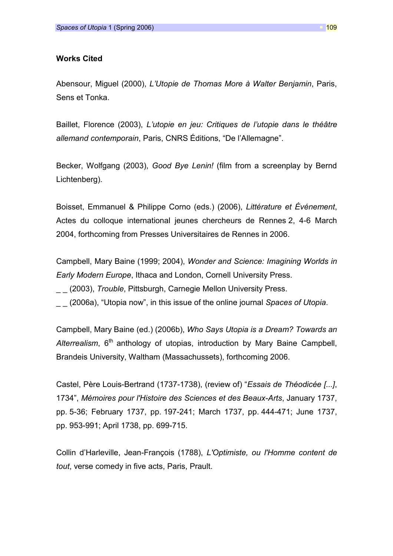## Works Cited

Abensour, Miguel (2000), L'Utopie de Thomas More à Walter Benjamin, Paris, Sens et Tonka.

Baillet, Florence (2003), L'utopie en jeu: Critiques de l'utopie dans le théâtre allemand contemporain, Paris, CNRS Éditions, "De l'Allemagne".

Becker, Wolfgang (2003), Good Bye Lenin! (film from a screenplay by Bernd Lichtenberg).

Boisset, Emmanuel & Philippe Corno (eds.) (2006), Littérature et Événement, Actes du colloque international jeunes chercheurs de Rennes 2, 4-6 March 2004, forthcoming from Presses Universitaires de Rennes in 2006.

Campbell, Mary Baine (1999; 2004), Wonder and Science: Imagining Worlds in Early Modern Europe, Ithaca and London, Cornell University Press.

(2003), Trouble, Pittsburgh, Carnegie Mellon University Press.

(2006a), "Utopia now", in this issue of the online journal Spaces of Utopia.

Campbell, Mary Baine (ed.) (2006b), Who Says Utopia is a Dream? Towards an Alterrealism,  $6<sup>th</sup>$  anthology of utopias, introduction by Mary Baine Campbell, Brandeis University, Waltham (Massachussets), forthcoming 2006.

Castel, Père Louis-Bertrand (1737-1738), (review of) "Essais de Théodicée [...], 1734", Mémoires pour l'Histoire des Sciences et des Beaux-Arts, January 1737, pp. 5-36; February 1737, pp. 197-241; March 1737, pp. 444-471; June 1737, pp. 953-991; April 1738, pp. 699-715.

Collin d'Harleville, Jean-François (1788), L'Optimiste, ou l'Homme content de tout, verse comedy in five acts, Paris, Prault.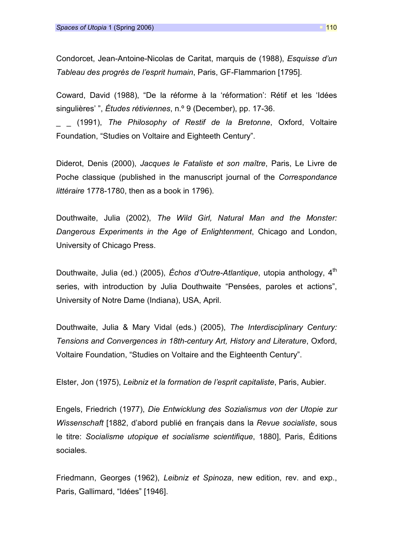Condorcet, Jean-Antoine-Nicolas de Caritat, marquis de (1988), Esquisse d'un Tableau des progrès de l'esprit humain, Paris, GF-Flammarion [1795].

Coward, David (1988), "De la réforme à la 'réformation': Rétif et les 'Idées singulières'", *Études rétiviennes*, n.º 9 (December), pp. 17-36.

(1991), The Philosophy of Restif de la Bretonne, Oxford, Voltaire Foundation, "Studies on Voltaire and Eighteeth Century".

Diderot, Denis (2000), Jacques le Fataliste et son maître, Paris, Le Livre de Poche classique (published in the manuscript journal of the Correspondance littéraire 1778-1780, then as a book in 1796).

Douthwaite, Julia (2002), The Wild Girl, Natural Man and the Monster: Dangerous Experiments in the Age of Enlightenment, Chicago and London, University of Chicago Press.

Douthwaite, Julia (ed.) (2005), Échos d'Outre-Atlantique, utopia anthology, 4<sup>th</sup> series, with introduction by Julia Douthwaite "Pensées, paroles et actions", University of Notre Dame (Indiana), USA, April.

Douthwaite, Julia & Mary Vidal (eds.) (2005), The Interdisciplinary Century: Tensions and Convergences in 18th-century Art, History and Literature, Oxford, Voltaire Foundation, "Studies on Voltaire and the Eighteenth Century".

Elster, Jon (1975), Leibniz et la formation de l'esprit capitaliste, Paris, Aubier.

Engels, Friedrich (1977), Die Entwicklung des Sozialismus von der Utopie zur Wissenschaft [1882, d'abord publié en français dans la Revue socialiste, sous le titre: Socialisme utopique et socialisme scientifique, 1880], Paris, Éditions sociales.

Friedmann, Georges (1962), Leibniz et Spinoza, new edition, rev. and exp., Paris, Gallimard, "Idées" [1946].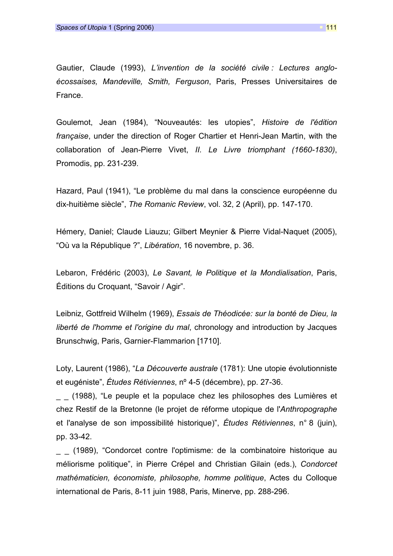Gautier, Claude (1993), L'invention de la société civile : Lectures angloécossaises, Mandeville, Smith, Ferguson, Paris, Presses Universitaires de France.

Goulemot, Jean (1984), "Nouveautés: les utopies", Histoire de l'édition française, under the direction of Roger Chartier et Henri-Jean Martin, with the collaboration of Jean-Pierre Vivet, II. Le Livre triomphant (1660-1830), Promodis, pp. 231-239.

Hazard, Paul (1941), "Le problème du mal dans la conscience européenne du dix-huitième siècle", The Romanic Review, vol. 32, 2 (April), pp. 147-170.

Hémery, Daniel; Claude Liauzu; Gilbert Meynier & Pierre Vidal-Naquet (2005), "Où va la République ?", Libération, 16 novembre, p. 36.

Lebaron, Frédéric (2003), Le Savant, le Politique et la Mondialisation, Paris, Éditions du Croquant, "Savoir / Agir".

Leibniz, Gottfreid Wilhelm (1969), Essais de Théodicée: sur la bonté de Dieu, la liberté de l'homme et l'origine du mal, chronology and introduction by Jacques Brunschwig, Paris, Garnier-Flammarion [1710].

Loty, Laurent (1986), "La Découverte australe (1781): Une utopie évolutionniste et eugéniste", Études Rétiviennes, nº 4-5 (décembre), pp. 27-36.

\_ \_ (1988), "Le peuple et la populace chez les philosophes des Lumières et chez Restif de la Bretonne (le projet de réforme utopique de l'Anthropographe et l'analyse de son impossibilité historique)", Études Rétiviennes, n° 8 (juin), pp. 33-42.

\_ \_ (1989), "Condorcet contre l'optimisme: de la combinatoire historique au méliorisme politique", in Pierre Crépel and Christian Gilain (eds.), Condorcet mathématicien, économiste, philosophe, homme politique, Actes du Colloque international de Paris, 8-11 juin 1988, Paris, Minerve, pp. 288-296.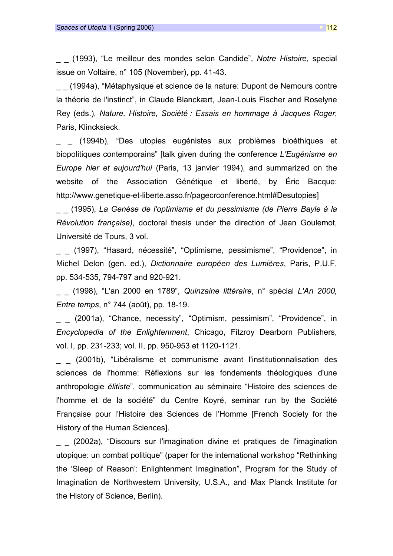\_ \_ (1993), "Le meilleur des mondes selon Candide", Notre Histoire, special issue on Voltaire, n° 105 (November), pp. 41-43.

\_ \_ (1994a), "Métaphysique et science de la nature: Dupont de Nemours contre la théorie de l'instinct", in Claude Blanckært, Jean-Louis Fischer and Roselyne Rey (eds.), Nature, Histoire, Société : Essais en hommage à Jacques Roger, Paris, Klincksieck.

(1994b), "Des utopies eugénistes aux problèmes bioéthiques et biopolitiques contemporains" [talk given during the conference L'Eugénisme en Europe hier et aujourd'hui (Paris, 13 janvier 1994), and summarized on the website of the Association Génétique et liberté, by Éric Bacque: http://www.genetique-et-liberte.asso.fr/pagecrconference.html#Desutopies]

\_ \_ (1995), La Genèse de l'optimisme et du pessimisme (de Pierre Bayle à la Révolution française), doctoral thesis under the direction of Jean Goulemot, Université de Tours, 3 vol.

(1997), "Hasard, nécessité", "Optimisme, pessimisme", "Providence", in Michel Delon (gen. ed.), Dictionnaire européen des Lumières, Paris, P.U.F, pp. 534-535, 794-797 and 920-921.

(1998), "L'an 2000 en 1789", Quinzaine littéraire, n° spécial L'An 2000. Entre temps, n° 744 (août), pp. 18-19.

(2001a), "Chance, necessity", "Optimism, pessimism", "Providence", in Encyclopedia of the Enlightenment, Chicago, Fitzroy Dearborn Publishers, vol. I, pp. 231-233; vol. II, pp. 950-953 et 1120-1121.

\_ \_ (2001b), "Libéralisme et communisme avant l'institutionnalisation des sciences de l'homme: Réflexions sur les fondements théologiques d'une anthropologie élitiste", communication au séminaire "Histoire des sciences de l'homme et de la société" du Centre Koyré, seminar run by the Société Française pour l'Histoire des Sciences de l'Homme [French Society for the History of the Human Sciences].

\_ \_ (2002a), "Discours sur l'imagination divine et pratiques de l'imagination utopique: un combat politique" (paper for the international workshop "Rethinking the 'Sleep of Reason': Enlightenment Imagination", Program for the Study of Imagination de Northwestern University, U.S.A., and Max Planck Institute for the History of Science, Berlin).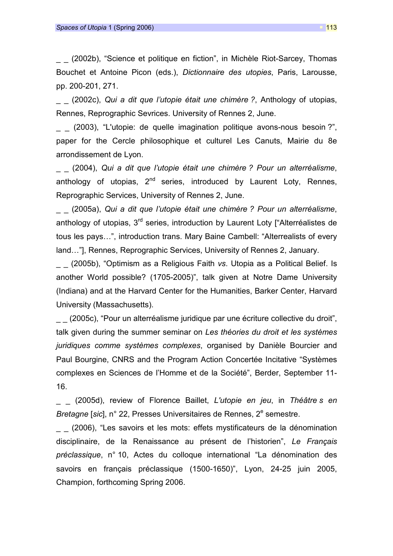(2002b), "Science et politique en fiction", in Michèle Riot-Sarcey, Thomas Bouchet et Antoine Picon (eds.), Dictionnaire des utopies, Paris, Larousse, pp. 200-201, 271.

(2002c), Qui a dit que l'utopie était une chimère ?, Anthology of utopias, Rennes, Reprographic Sevrices. University of Rennes 2, June.

(2003), "L'utopie: de quelle imagination politique avons-nous besoin?", paper for the Cercle philosophique et culturel Les Canuts, Mairie du 8e arrondissement de Lyon.

(2004), Qui a dit que l'utopie était une chimère ? Pour un alterréalisme, anthology of utopias,  $2^{nd}$  series, introduced by Laurent Loty, Rennes, Reprographic Services, University of Rennes 2, June.

(2005a), Qui a dit que l'utopie était une chimère ? Pour un alterréalisme, anthology of utopias, 3<sup>rd</sup> series, introduction by Laurent Loty ["Alterréalistes de tous les pays…", introduction trans. Mary Baine Cambell: "Alterrealists of every land…"], Rennes, Reprographic Services, University of Rennes 2, January.

(2005b), "Optimism as a Religious Faith vs. Utopia as a Political Belief. Is another World possible? (1705-2005)", talk given at Notre Dame University (Indiana) and at the Harvard Center for the Humanities, Barker Center, Harvard University (Massachusetts).

(2005c), "Pour un alterréalisme juridique par une écriture collective du droit", talk given during the summer seminar on Les théories du droit et les systèmes juridiques comme systèmes complexes, organised by Danièle Bourcier and Paul Bourgine, CNRS and the Program Action Concertée Incitative "Systèmes complexes en Sciences de l'Homme et de la Société", Berder, September 11- 16.

(2005d), review of Florence Baillet, L'utopie en jeu, in Théâtre s en Bretagne [sic], n° 22, Presses Universitaires de Rennes, 2<sup>e</sup> semestre.

(2006), "Les savoirs et les mots: effets mystificateurs de la dénomination disciplinaire, de la Renaissance au présent de l'historien", Le Français préclassique, n° 10, Actes du colloque international "La dénomination des savoirs en français préclassique (1500-1650)", Lyon, 24-25 juin 2005, Champion, forthcoming Spring 2006.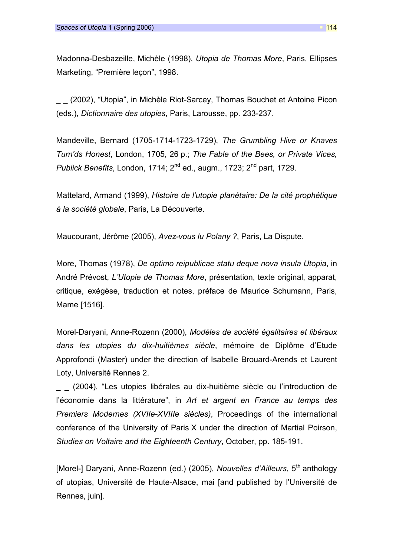Madonna-Desbazeille, Michèle (1998), Utopia de Thomas More, Paris, Ellipses Marketing, "Première leçon", 1998.

(2002), "Utopia", in Michèle Riot-Sarcey, Thomas Bouchet et Antoine Picon (eds.), Dictionnaire des utopies, Paris, Larousse, pp. 233-237.

Mandeville, Bernard (1705-1714-1723-1729), The Grumbling Hive or Knaves Turn'ds Honest, London, 1705, 26 p.; The Fable of the Bees, or Private Vices, Publick Benefits, London, 1714;  $2^{nd}$  ed., augm., 1723;  $2^{nd}$  part, 1729.

Mattelard, Armand (1999), Histoire de l'utopie planétaire: De la cité prophétique à la société globale, Paris, La Découverte.

Maucourant, Jérôme (2005), Avez-vous lu Polany ?, Paris, La Dispute.

More, Thomas (1978), De optimo reipublicae statu deque nova insula Utopia, in André Prévost, L'Utopie de Thomas More, présentation, texte original, apparat, critique, exégèse, traduction et notes, préface de Maurice Schumann, Paris, Mame [1516].

Morel-Daryani, Anne-Rozenn (2000), Modèles de société égalitaires et libéraux dans les utopies du dix-huitièmes siècle, mémoire de Diplôme d'Etude Approfondi (Master) under the direction of Isabelle Brouard-Arends et Laurent Loty, Université Rennes 2.

(2004), "Les utopies libérales au dix-huitième siècle ou l'introduction de l'économie dans la littérature", in Art et argent en France au temps des Premiers Modernes (XVIIe-XVIIIe siècles), Proceedings of the international conference of the University of Paris X under the direction of Martial Poirson, Studies on Voltaire and the Eighteenth Century, October, pp. 185-191.

[Morel-] Daryani, Anne-Rozenn (ed.) (2005), Nouvelles d'Ailleurs,  $5<sup>th</sup>$  anthology of utopias, Université de Haute-Alsace, mai [and published by l'Université de Rennes, juin].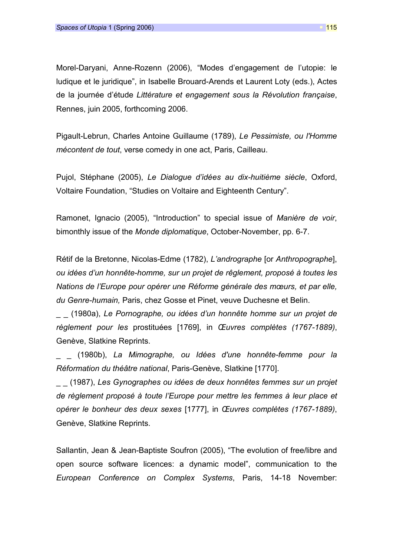Morel-Daryani, Anne-Rozenn (2006), "Modes d'engagement de l'utopie: le ludique et le juridique", in Isabelle Brouard-Arends et Laurent Loty (eds.), Actes de la journée d'étude Littérature et engagement sous la Révolution française, Rennes, juin 2005, forthcoming 2006.

Pigault-Lebrun, Charles Antoine Guillaume (1789), Le Pessimiste, ou l'Homme mécontent de tout, verse comedy in one act, Paris, Cailleau.

Pujol, Stéphane (2005), Le Dialogue d'idées au dix-huitième siècle, Oxford, Voltaire Foundation, "Studies on Voltaire and Eighteenth Century".

Ramonet, Ignacio (2005), "Introduction" to special issue of Manière de voir, bimonthly issue of the Monde diplomatique, October-November, pp. 6-7.

Rétif de la Bretonne, Nicolas-Edme (1782), L'andrographe [or Anthropographe], ou idées d'un honnête-homme, sur un projet de rêglement, proposé à toutes les Nations de l'Europe pour opérer une Réforme générale des mœurs, et par elle, du Genre-humain, Paris, chez Gosse et Pinet, veuve Duchesne et Belin.

\_ \_ (1980a), Le Pornographe, ou idées d'un honnête homme sur un projet de règlement pour les prostituées [1769], in Œuvres complètes (1767-1889), Genève, Slatkine Reprints.

(1980b), La Mimographe, ou Idées d'une honnête-femme pour la Réformation du théâtre national, Paris-Genève, Slatkine [1770].

\_ \_ (1987), Les Gynographes ou idées de deux honnêtes femmes sur un projet de règlement proposé à toute l'Europe pour mettre les femmes à leur place et opérer le bonheur des deux sexes [1777], in Œuvres complètes (1767-1889), Genève, Slatkine Reprints.

Sallantin, Jean & Jean-Baptiste Soufron (2005), "The evolution of free/libre and open source software licences: a dynamic model", communication to the European Conference on Complex Systems, Paris, 14-18 November: